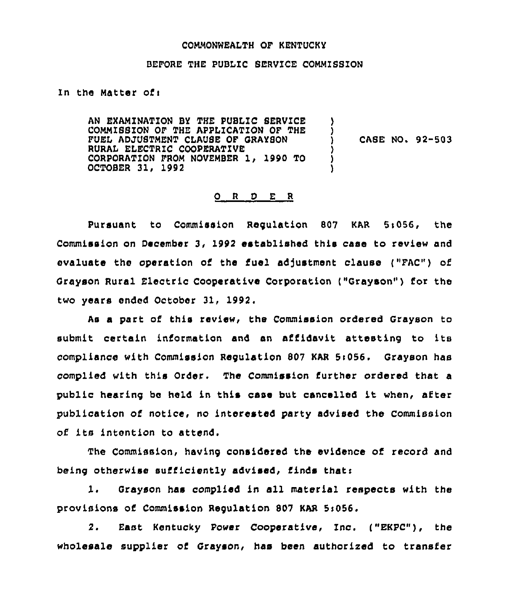#### CQMMONNEALTH OF KENTUCKY

#### BEFORE THE PUBLIC BERVZCE COMMISSZON

In the Matter ofi

AN EXAMINATION BY THE PUBLIC SERVICE COMMIBSZON OF THE APPLICATION OF THE FUEL ADJUSTMENT CLAUSE OF GRAYSON RURAI ELECTRIC COOPERATZVE CORPORATION FROM NOVEMBER 1, 1990 TO OCTOBER 31, 1992 ) CASE NO. 92-503 ) ) )

### 0 <sup>R</sup> <sup>D</sup> E <sup>R</sup>

Pursuant to Commission Regulation 807 KAR 5s056, the Commission on December 3, 1992 established this case to review and evaluate the operation of the fuel adjustment clause ("FAC") of Grayson Rural Electric Cooperative Corporation ("Grayson") for the two years ended October 31, 1992.

As a part of this review, the Commission ordered Grayson to submit certain information and an affidavit attesting to its compliance with Commission Regulation 807 KAR 5i056. Grayson has complied with this Order. The Commission further ordered that a public hearing bo held in this case but cancelled it when, after publication of notice, no interested party advised the Commission of its intention to attend.

The Commission, having considered the evidence of record and being otherwise sufiiciently advised, finds thati

1. Grayson has complied in all material respects with the provisions of Commission Regulation 807 KAR Si056.

2. East Kentucky Power Cooperative, Inc. ("EKPC"), the wholesale supplier of Grayson, has been authorised to transfer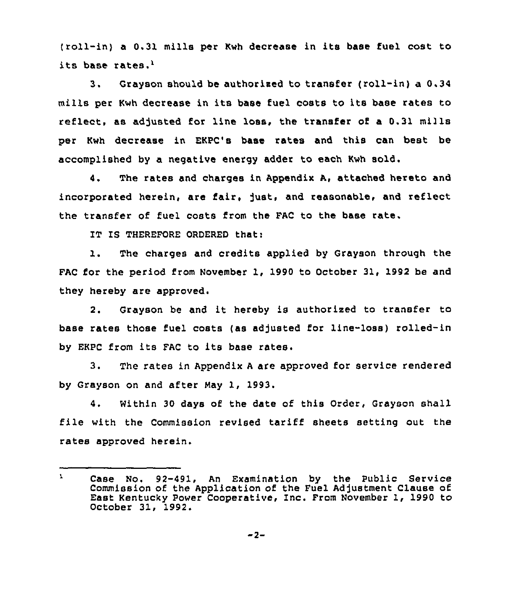(roll-in) <sup>a</sup> 0.31 mills per Kwh decrease in its base fuel cost to its base rates.'.

 $3.$ Grayson should be authorized to transfer (roll-in) a 0.34 mills per Kwh decrease in its base fuel costs to its base rates ro reflect, as adjusted for line loss, the transfer of a 0.31 mills per Kwh decrease in EKPC's base rates and this can best be accomplished by a negative energy adder to each Kwh sold.

4. The rates and charges in Appendix A, attached hereto and incorporated herein, are fair, just, and reasonable, and reflect the transfer of fuel costs from the FAC to the base rate.

IT IS THEREFORE ORDERED that:

 $\mathbf{1}$ . The charges and credits applied by Grayson through the FAC for the period from November 1, 1990 to October 31, 1992 be and they hereby are approved.

2. Grayson be and it hereby is authorized to transfer to base rates those fuel costs (as adjusted for line-loss) rolled-in by EKPC from its FAC to its base rates.

3. The rates in Appendix <sup>A</sup> are approved for service rendered by Grayson on and after May 1, 1993.

4. Within 30 days of the date of this Order, Grayson shall file with the Commission revised tariff sheets setting out the rates approved herein.

 $\mathbf{r}$ Case No. 92-491, An Examination by the Public Service Commission of the Application of the Fuel Ad]ustment Clause of East Kentucky power Cooperative, Inc. From November 1, 1990 to October 31, 1992.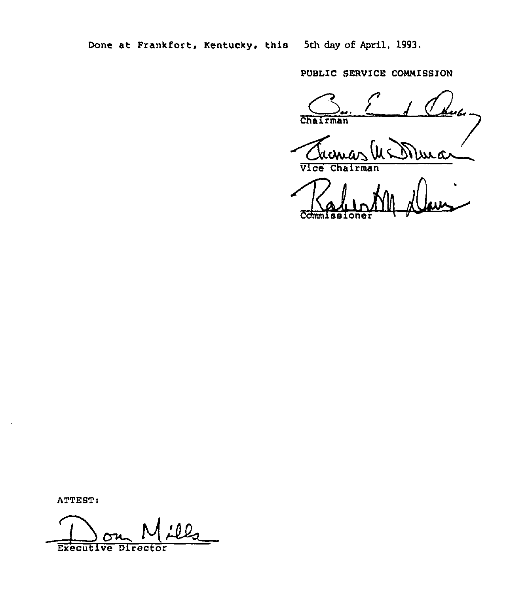Done at Frankfort, Kentucky, this 5th day of April, 1993.

PUBLIC SERVICE COMMISSION

Chairman wwa

Vice Chairman

C<del>dmm</del>issione

ATTEST:

0 Q Executive Director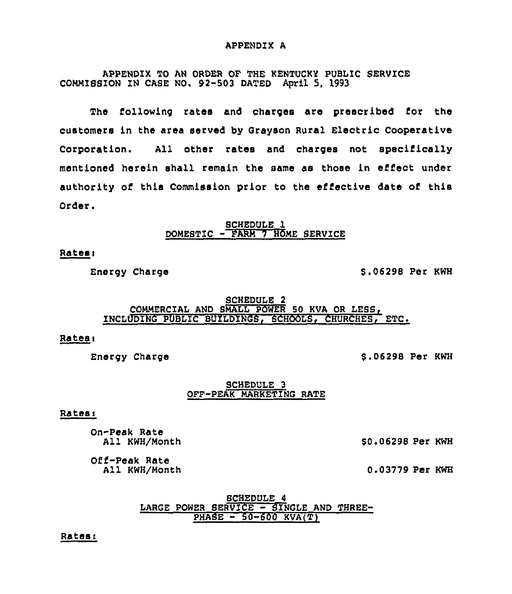#### APPENDIX A

APPENDIX TO AN ORDER OF THE KENTUCKY PUBLIC SERVICE COMMISSION ZN CASE NQ. 92-503 DATED April 5, 1993

The following rates and charges are prescribed fox the customers in the area served by Grayson Rural Electric Cooperative Corporation. All other rates and charges not specifically mentioned herein shall remain the same as those in effect under authority of this Commission prior to the effective date of this Order.

> SCHEDULE l DOMESTIC - FARM 7 HOME SERVICE

# Ratesi

Energy Charge  $$ 06298$  Per KWH

## SCHEDULE 2 COMMERCIAL AND SMALL POWER 50 KVA OR LESS, INCLUDING PUBLIC BUILDINGS, SCHOOLS, CHURCHES, ETC.

# Ratesi

Energy Charge **\$ .06298 Per KWH** 

## SCHEDULE 3 OFF-PEAK MARKETING RATE

## Ratesi

On-Peak Rate All KWH/Month

\$0.06298 Per KWH

Off-Peak Rate All KWH/Month

0.03779 Per KWH

## SCHEDULE 4 LARGE POWER SERVICE - SINGLE AND THREE-PHASE - 50-600 KVA(T)

Rates: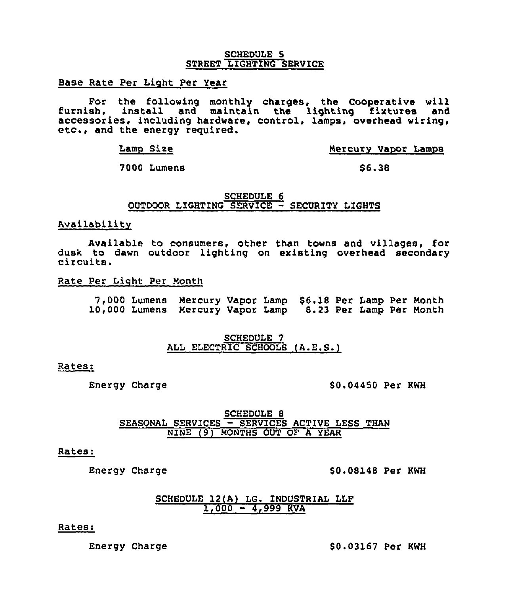#### SCHEDULE 5 STREET LIGHTING SERVICE

Base Rate Per Light Per Year

For the following monthly charges, the Cooperative will<br>furnish, install and maintain the lighting fixtures and accessories, including hardware, control, lamps, overhead wiring, etc., and the energy required.

Lamp Sire

Mercury Vapor Lamps

7000 Lumens

\$6.38

SCHEDULE 6 OUTDOOR LIGHTING SERVICE - SECURITY LIGHTS

### Availability

Available to consumers, other than towns and villages, for dusk to dawn outdoor lighting on existing overhead secondary circuits.

Rate Per Light Per Month

7,000 Lumens Mercury Vapor Lamp \$6.18 Per Lamp Per Month<br>10,000 Lumens Mercury Vapor Lamp 8.23 Per Lamp Per Month

#### SCHEDULE 7 ALL ELECTRIC SCHOOLS (A.E.S.)

#### Rates:

Energy Charge  $$0.04450$  Per KWH

SCHEDULE 8 SEASONAL SERVICES — SERVICES ACTIVE LESS THAN NINE (9) MONTHS OUT OF <sup>A</sup> YEAR

#### Rates:

Energy Charge  $$0.08148$  Per KWH

# SCHEDULE 12(A) LG. INDUSTRIAL LLF 1,000 — 4,999 KVA

#### Rates:

Energy Charge  $$ 0.03167$  Per KWH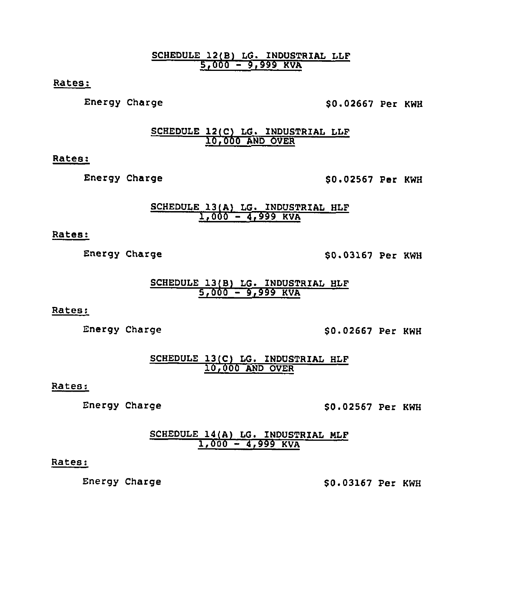SCHEDULE 12(B) LG. INDUSTRIAL LLF <u>5,000 – 9,999 KVA</u>

Rates:

Energy Charge  $$0.02667$  Per KWH

SCHEDULE 12(C) LG. INDUSTRIAL LLF 10,000 AND OVER

Rates:

Energy Charge  $$0.02567$  Per KWH

# SCHEDULE 13(A) LG. INDUSTRIAL HLF <u>1,000 – 4,999 KVA</u>

Rates:

Energy Charge  $$80.03167$  Per KWH

# SCHEDULE 13(B) LG. INDUSTRIAL HLF 5,000 — 9,999 KVA

Rates:

Energy Charge  $$ 0.02667$  Per KWH

SCHEDULE 13(C) LG. INDUSTRIAL HLF 10,000 AND OVER

# Rates:

Energy Charge  $$0.02567$  Per KWH

# SCHEDULE 14(A) LG. INDUSTRIAL HLF 1,000 — 4,999 KVA

# Rates:

Energy Charge  $$ 0.03167$  Per KWH